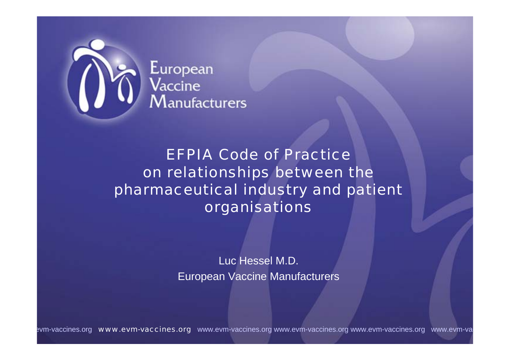

# European<br>Vaccine<br>Manufacturers

#### EFPIA Code of Practice on relationships between the pharmaceutical industry and patient organisations

Luc Hessel M.D. European Vaccine Manufacturers

evm-vaccines.org www.evm-vaccines.org www.evm-vaccines.org www.evm-vaccines.org www.evm-vaccines.org www.evm-va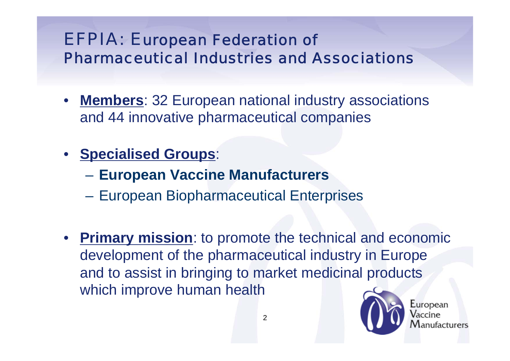#### EFPIA: European Federation of Pharmaceutical Industries and Associations

- **Members**: 32 European national industry associations and 44 innovative pharmaceutical companies
- **Specialised Groups**:
	- **European Vaccine Manufacturers**
	- European Biopharmaceutical Enterprises
- **Primary mission**: to promote the technical and economic development of the pharmaceutical industry in Europe and to assist in bringing to market medicinal products which improve human health



European acturers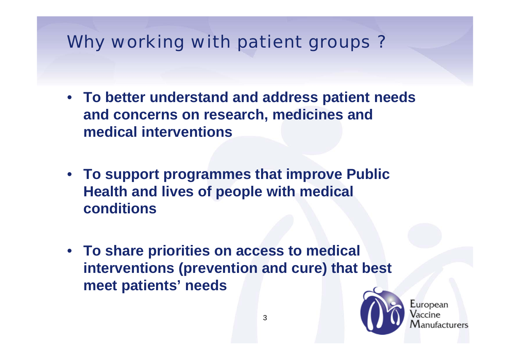### Why working with patient groups ?

- **To better understand and address patient needs and concerns on research, medicines and medical interventions**
- **To support programmes that improve Public Health and lives of people with medical conditions**
- **To share priorities on access to medical interventions (prevention and cure) that best meet patients' needs**



European ıfacturers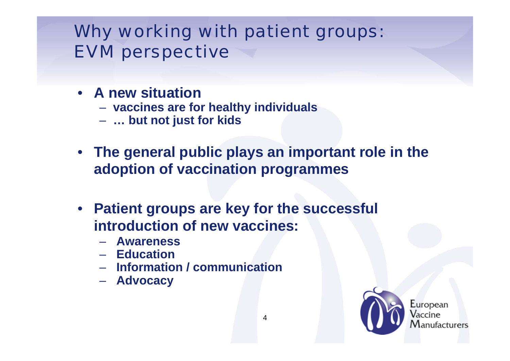#### Why working with patient groups: EVM perspective

- **A new situation**
	- **vaccines are for healthy individuals**
	- **… but not just for kids**
- **The general public plays an important role in the adoption of vaccination programmes**
- **Patient groups are key for the successful introduction of new vaccines:**
	- **Awareness**
	- **Education**
	- **Information / communication**
	- **Advocacy**



European ufacturers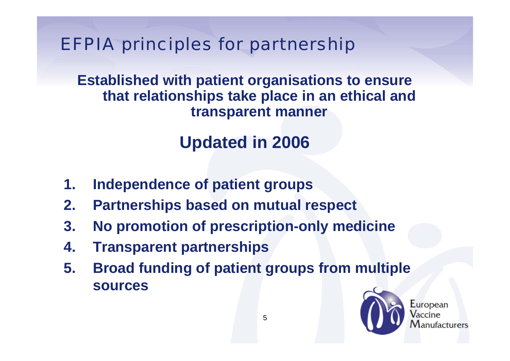EFPIA principles for partnership

**Established with patient organisations to ensure that relationships take place in an ethical and transparent manner**

### **Updated in 2006**

- **1. Independence of patient groups**
- **2. Partnerships based on mutual respect**
- **3. No promotion of prescription-only medicine**
- **4. Transparent partnerships**
- **5. Broad funding of patient groups from multiple sources**



European ıfacturers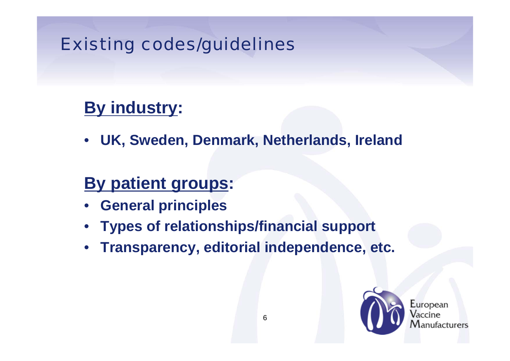#### Existing codes/guidelines

## **By industry:**

• **UK, Sweden, Denmark, Netherlands, Ireland**

#### **By patient groups:**

- **General principles**
- **Types of relationships/financial support**
- **Transparency, editorial independence, etc.**



European facturers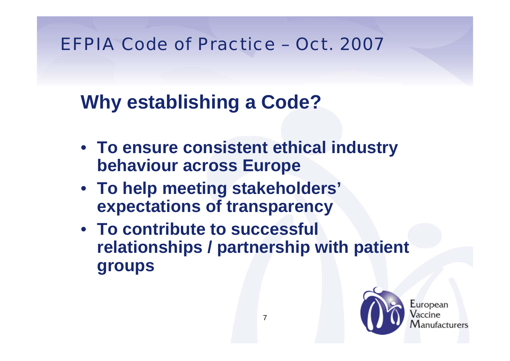#### EFPIA Code of Practice – Oct. 2007

## **Why establishing a Code?**

- **To ensure consistent ethical industry behaviour across Europe**
- **To help meeting stakeholders' expectations of transparency**
- **To contribute to successful relationships / partnership with patient groups**



Luropean acturers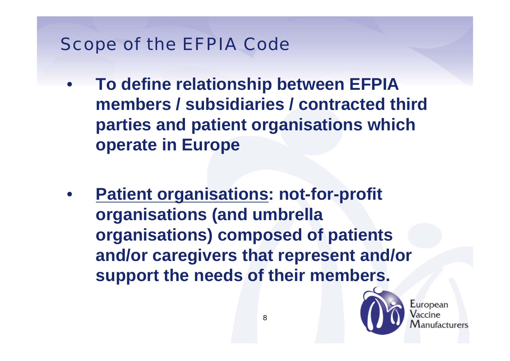#### Scope of the EFPIA Code

- **To define relationship between EFPIA members / subsidiaries / contracted third parties and patient organisations which operate in Europe**
- **Patient organisations: not-for-profit organisations (and umbrella organisations) composed of patients and/or caregivers that represent and/or support the needs of their members.**



Luropean acturers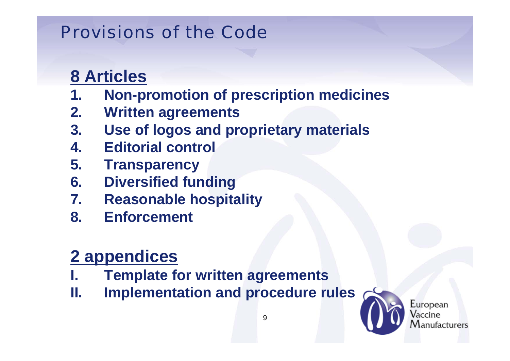#### **8 Articles**

- **1. Non-promotion of prescription medicines**
- **2. Written agreements**
- **3. Use of logos and proprietary materials**
- **4. Editorial control**
- **5. Transparency**
- **6. Diversified funding**
- **7. Reasonable hospitality**
- **8. Enforcement**

## **2 appendices**

- **I. Template for written agreements**
- **II. Implementation and procedure rules**

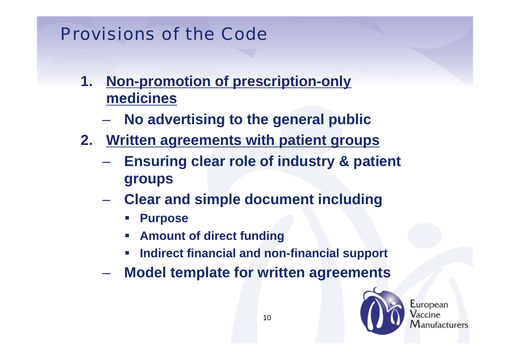- **1. Non-promotion of prescription-only medicines**
	- **No advertising to the general public**
- **2. Written agreements with patient groups**
	- **Ensuring clear role of industry & patient groups**
	- **Clear and simple document including**
		- **Purpose**
		- **Amount of direct funding**
		- $\blacksquare$ **Indirect financial and non-financial support**
	- **Model template for written agreements**



European nufacturers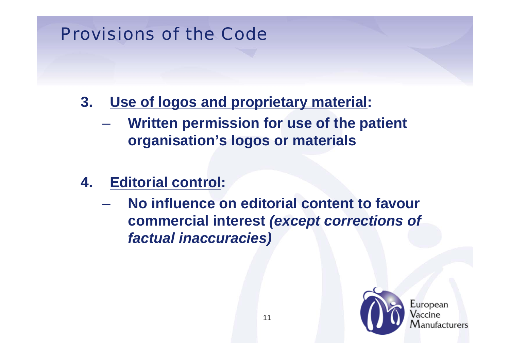- **3. Use of logos and proprietary material:**
	- **Written permission for use of the patient organisation's logos or materials**
- **4. Editorial control:**
	- **No influence on editorial content to favour commercial interest** *(except corrections of factual inaccuracies)*



Luropean *ifacturers*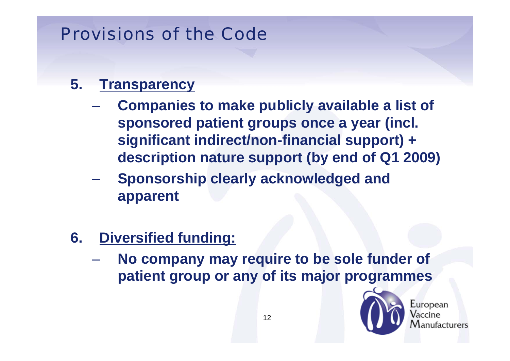#### **5. Transparency**

- **Companies to make publicly available a list of sponsored patient groups once a year (incl. significant indirect/non-financial support) + description nature support (by end of Q1 2009)**
- **Sponsorship clearly acknowledged and apparent**
- **6. Diversified funding:**
	- **No company may require to be sole funder of patient group or any of its major programmes**



European *ifacturers*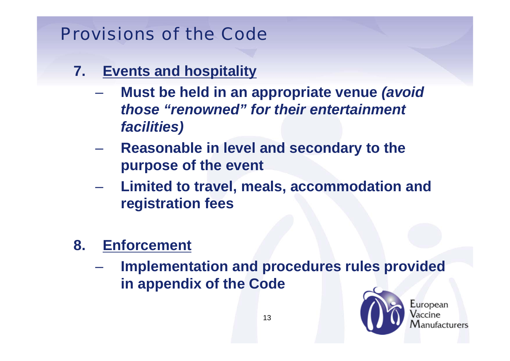- **7. Events and hospitality**
	- **Must be held in an appropriate venue** *(avoid those "renowned" for their entertainment facilities)*
	- **Reasonable in level and secondary to the purpose of the event**
	- **Limited to travel, meals, accommodation and registration fees**
- **8. Enforcement**
	- **Implementation and procedures rules provided in appendix of the Code**



European ufacturers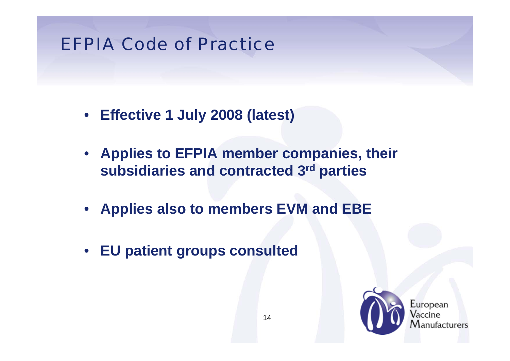#### EFPIA Code of Practice

- **Effective 1 July 2008 (latest)**
- **Applies to EFPIA member companies, their subsidiaries and contracted 3rd parties**
- **Applies also to members EVM and EBE**
- **EU patient groups consulted**



European ıfacturers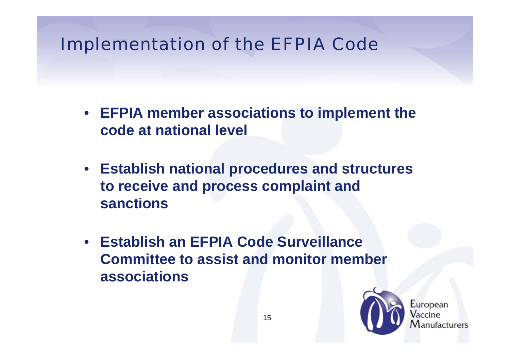#### Implementation of the EFPIA Code

- **EFPIA member associations to implement the code at national level**
- **Establish national procedures and structures to receive and process complaint and sanctions**
- **Establish an EFPIA Code Surveillance Committee to assist and monitor member associations**



European ufacturers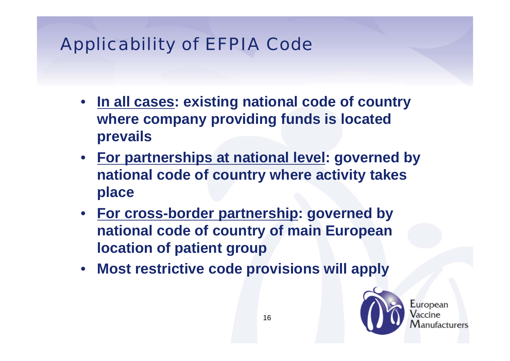## Applicability of EFPIA Code

- **In all cases: existing national code of country where company providing funds is located prevails**
- **For partnerships at national level: governed by national code of country where activity takes place**
- **For cross-border partnership: governed by national code of country of main European location of patient group**
- **Most restrictive code provisions will apply**



Luropean *ifacturers*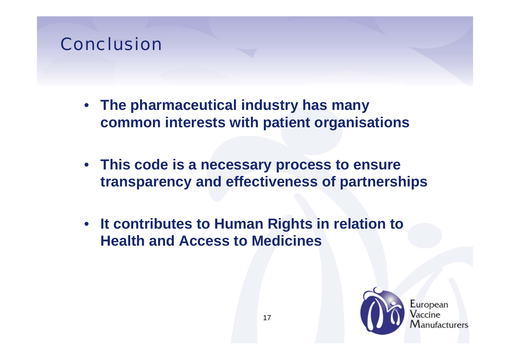#### Conclusion

- **The pharmaceutical industry has many common interests with patient organisations**
- **This code is a necessary process to ensure transparency and effectiveness of partnerships**
- **It contributes to Human Rights in relation to Health and Access to Medicines**



Luropean acturers